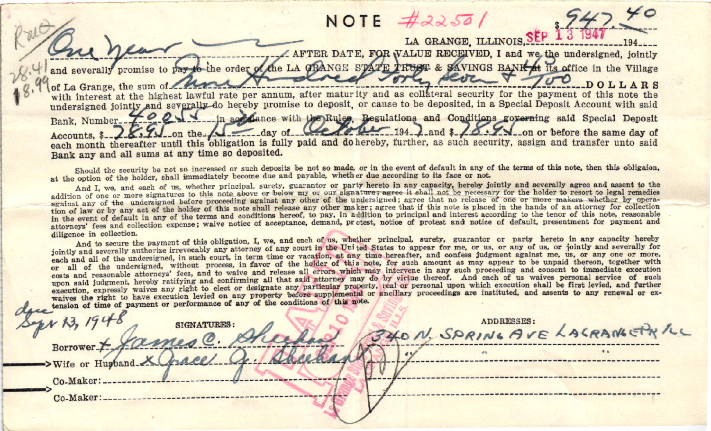## $42250$ NOTE

LA GRANGE ILLINOIS SEE AFTER DATE, FOR VALUE RECEIVED, I and we the undersigned, jointly

the order of the LA GRANGE STATE TRUST & SAVINGS BANK at its office in the Village and severally promise to payorte seve of La Grange, the sum with interest at the highest lawful rate per annum, after maturity and as collateral security for the payment of this note the undersigned jointly and severally do hereby promise to deposit, or cause to be deposited, in a Special Deposit Account with said 40055 in agendance with the Rules. Regulations and Conditions governing said Special Deposit Bank, Number...  $\frac{1}{\sqrt{2}}$  on the  $\sqrt{2}$  day of  $194$ ,  $\lambda$  and  $\lambda$   $\lambda$   $\lambda$   $\lambda$  on or before the same day of Accounts, \$ each month thereafter until this obligation is fully paid and do hereby, further, as such security, assign and transfer unto said Bank any and all sums at any time so deposited.

Should the security be not so increased or such deposits be not so made, or in the event of default in any of the terms of this note, then this obligaion. at the option of the holder, shall immediately become due and payable, whether due according to its face or not

And I, we, and each of us, whether principal, surety, guarantor or party hereto in any capacity, hereby jointly and severally agree and assent to the addition of one or more signatures to this note above or below my or our signature; agree it shall not be necessary for the holder to resort to legal remedies against any of the undersigned before proceeding against any other of the undersigned; agree that no release of one or more makers whether by operation of law or by any act of the holder of this note shall release any other maker; agree that if this note is placed in the hands of an attorney for collection in the event of default in any of the terms and conditions hereof, to pay, in addition to principal and interest according to the tenor of this note, reasonable attorneys' fees and collection expense; waive notice of acceptance, demand, protest, notice of protest and notice of default, presentment for payment and diligence in collection.

And to secure the payment of this obligation, I, we, and each of us, whether principal, surety, guarantor or party hereto in any capacity hereby jointly and severally authorize irrevocably any attorney of any court in the United States to appear for me, or us, or any of us, or jointly and severally for each and all of the undersigned, in such court, in term time or vacation, at any time hereafter, and confess judgment against me, us, or any one or more. or all of the undersigned, without process, in favor of the holder of this note, for such amount as may appear to be unpaid thereon, together with costs and reasonable attorneys' fees, and to waive and release all errors which may intervene in any such proceeding and consent to immediate execution upon said judgment, hereby ratifying and confirming all that said attorney may do by virtue thereof. And each of us waives personal service of such execution, expressly waives any right to elect or designate any particular property, real or personal upon which execution shall be first levied, and further waives the right to have execution levied on any property before supplemental or ancillary proceedings are instituted, and assents to any renewal or extension of time of payment or performance of any of the conditions of this note.

| opr 13, 1948<br><b>SIGNATURES:</b><br>BOTTOWEr + James C. Sheep | ADDRESSES:<br>340 N. SPRING AVE LACRANGERILL |
|-----------------------------------------------------------------|----------------------------------------------|
| ->Wife or Husband                                               |                                              |
| Co-Maker:.<br>Co-Maker:                                         |                                              |